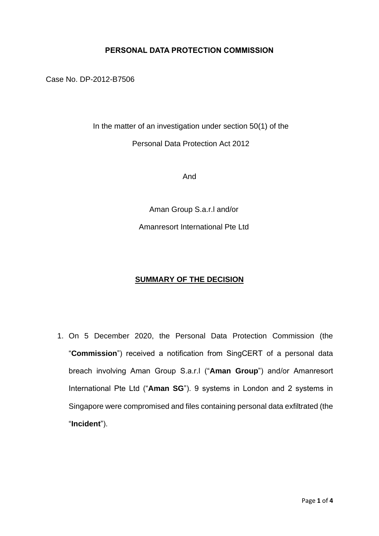## **PERSONAL DATA PROTECTION COMMISSION**

Case No. DP-2012-B7506

In the matter of an investigation under section 50(1) of the Personal Data Protection Act 2012

And

Aman Group S.a.r.l and/or Amanresort International Pte Ltd

## **SUMMARY OF THE DECISION**

1. On 5 December 2020, the Personal Data Protection Commission (the "**Commission**") received a notification from SingCERT of a personal data breach involving Aman Group S.a.r.l ("**Aman Group**") and/or Amanresort International Pte Ltd ("**Aman SG**"). 9 systems in London and 2 systems in Singapore were compromised and files containing personal data exfiltrated (the "**Incident**").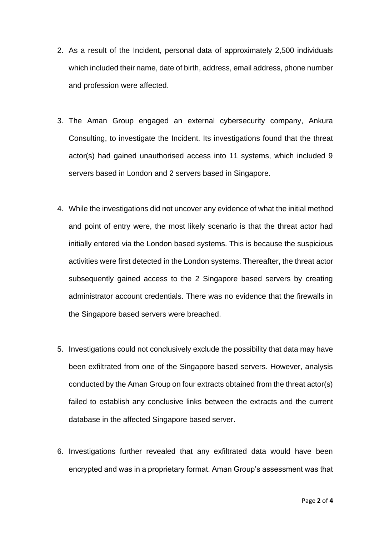- 2. As a result of the Incident, personal data of approximately 2,500 individuals which included their name, date of birth, address, email address, phone number and profession were affected.
- 3. The Aman Group engaged an external cybersecurity company, Ankura Consulting, to investigate the Incident. Its investigations found that the threat actor(s) had gained unauthorised access into 11 systems, which included 9 servers based in London and 2 servers based in Singapore.
- 4. While the investigations did not uncover any evidence of what the initial method and point of entry were, the most likely scenario is that the threat actor had initially entered via the London based systems. This is because the suspicious activities were first detected in the London systems. Thereafter, the threat actor subsequently gained access to the 2 Singapore based servers by creating administrator account credentials. There was no evidence that the firewalls in the Singapore based servers were breached.
- 5. Investigations could not conclusively exclude the possibility that data may have been exfiltrated from one of the Singapore based servers. However, analysis conducted by the Aman Group on four extracts obtained from the threat actor(s) failed to establish any conclusive links between the extracts and the current database in the affected Singapore based server.
- 6. Investigations further revealed that any exfiltrated data would have been encrypted and was in a proprietary format. Aman Group's assessment was that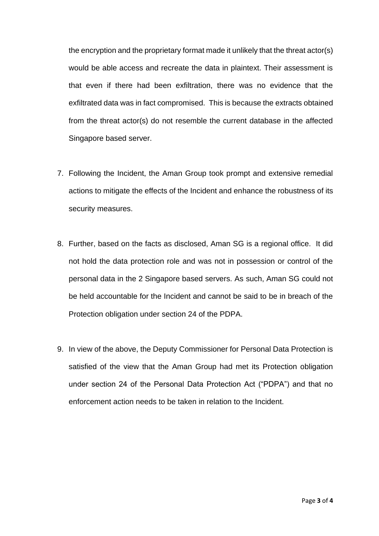the encryption and the proprietary format made it unlikely that the threat actor(s) would be able access and recreate the data in plaintext. Their assessment is that even if there had been exfiltration, there was no evidence that the exfiltrated data was in fact compromised. This is because the extracts obtained from the threat actor(s) do not resemble the current database in the affected Singapore based server.

- 7. Following the Incident, the Aman Group took prompt and extensive remedial actions to mitigate the effects of the Incident and enhance the robustness of its security measures.
- 8. Further, based on the facts as disclosed, Aman SG is a regional office. It did not hold the data protection role and was not in possession or control of the personal data in the 2 Singapore based servers. As such, Aman SG could not be held accountable for the Incident and cannot be said to be in breach of the Protection obligation under section 24 of the PDPA.
- 9. In view of the above, the Deputy Commissioner for Personal Data Protection is satisfied of the view that the Aman Group had met its Protection obligation under section 24 of the Personal Data Protection Act ("PDPA") and that no enforcement action needs to be taken in relation to the Incident.